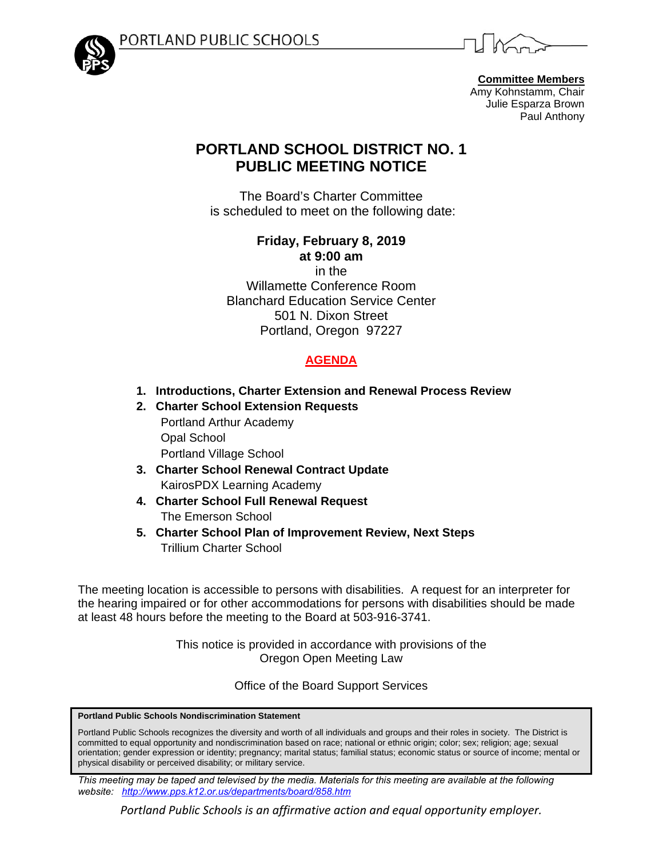



**Committee Members** Amy Kohnstamm, Chair Julie Esparza Brown Paul Anthony

# **PORTLAND SCHOOL DISTRICT NO. 1 PUBLIC MEETING NOTICE**

The Board's Charter Committee is scheduled to meet on the following date:

> **Friday, February 8, 2019 at 9:00 am** in the

Willamette Conference Room Blanchard Education Service Center 501 N. Dixon Street Portland, Oregon 97227

# **AGENDA**

- **1. Introductions, Charter Extension and Renewal Process Review**
- **2. Charter School Extension Requests**  Portland Arthur Academy Opal School Portland Village School
- **3. Charter School Renewal Contract Update**  KairosPDX Learning Academy
- **4. Charter School Full Renewal Request**  The Emerson School
- **5. Charter School Plan of Improvement Review, Next Steps**  Trillium Charter School

The meeting location is accessible to persons with disabilities. A request for an interpreter for the hearing impaired or for other accommodations for persons with disabilities should be made at least 48 hours before the meeting to the Board at 503-916-3741.

> This notice is provided in accordance with provisions of the Oregon Open Meeting Law

> > Office of the Board Support Services

**Portland Public Schools Nondiscrimination Statement** 

Portland Public Schools recognizes the diversity and worth of all individuals and groups and their roles in society. The District is committed to equal opportunity and nondiscrimination based on race; national or ethnic origin; color; sex; religion; age; sexual orientation; gender expression or identity; pregnancy; marital status; familial status; economic status or source of income; mental or physical disability or perceived disability; or military service.

*This meeting may be taped and televised by the media. Materials for this meeting are available at the following website: http://www.pps.k12.or.us/departments/board/858.htm* 

*Portland Public Schools is an affirmative action and equal opportunity employer.*